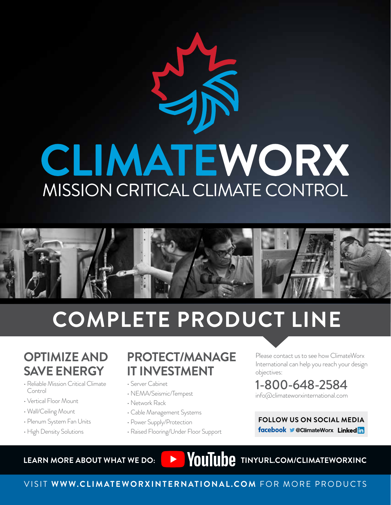# CLIMATEWORX MISSION CRITICAL CLIMATE CONTROL



# **COMPLETE PRODUCT LINE**

# **OPTIMIZE AND SAVE ENERGY**

- Reliable Mission Critical Climate Control
- Vertical Floor Mount
- Wall/Ceiling Mount
- Plenum System Fan Units
- High Density Solutions

# **PROTECT/MANAGE IT INVESTMENT**

- Server Cabinet
- NEMA/Seismic/Tempest
- Network Rack
- Cable Management Systems
- Power Supply/Protection
- Raised Flooring/Under Floor Support

Please contact us to see how ClimateWorx International can help you reach your design objectives:

### 1-800-648-2584 info@climateworxinternational.com

**FOLLOW US ON SOCIAL MEDIA** facebook CClimateWorx Linkedin

LEARN MORE ABOUT WHAT WE DO: **THE WAS SERVED MANUAL PROPERTY OF A LIGARY MORE ABOUT WHAT WE DO:** 

## VISIT **WWW.CLIMATEWORXINTERNATIONAL.COM** FOR MORE PRODUCTS